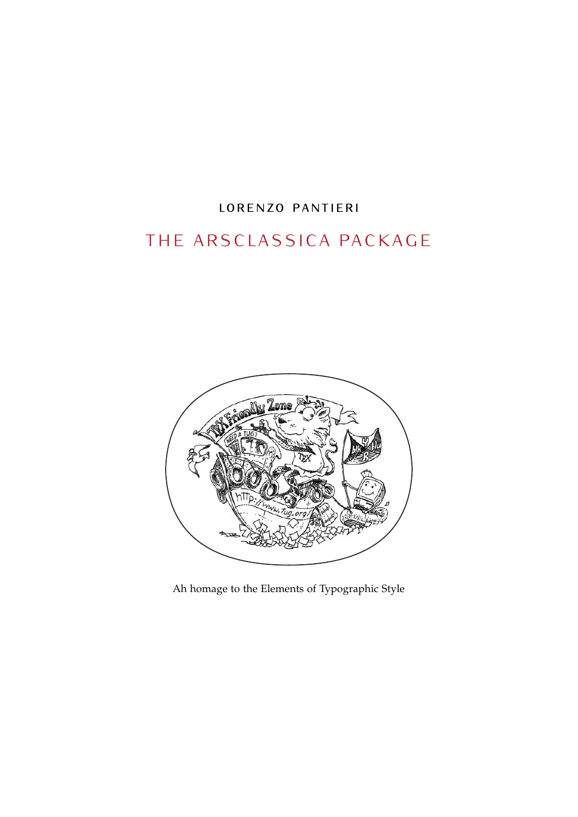## lorenzo pantieri

# THE ARSCLASSICA PACKAGE



Ah homage to the Elements of Typographic Style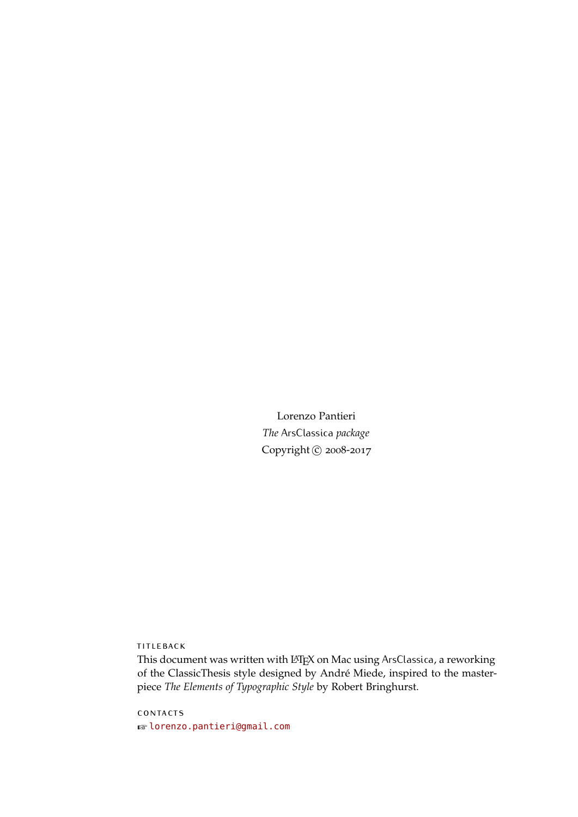Lorenzo Pantieri *The* ArsClassica *package* Copyright © 2008-2017

#### titleback

This document was written with LATEX on Mac using ArsClassica, a reworking of the ClassicThesis style designed by André Miede, inspired to the masterpiece *The Elements of Typographic Style* by Robert Bringhurst.

contacts ☞ [lorenzo.pantieri@gmail.com](mailto:lorenzo.pantieri@gmail.com)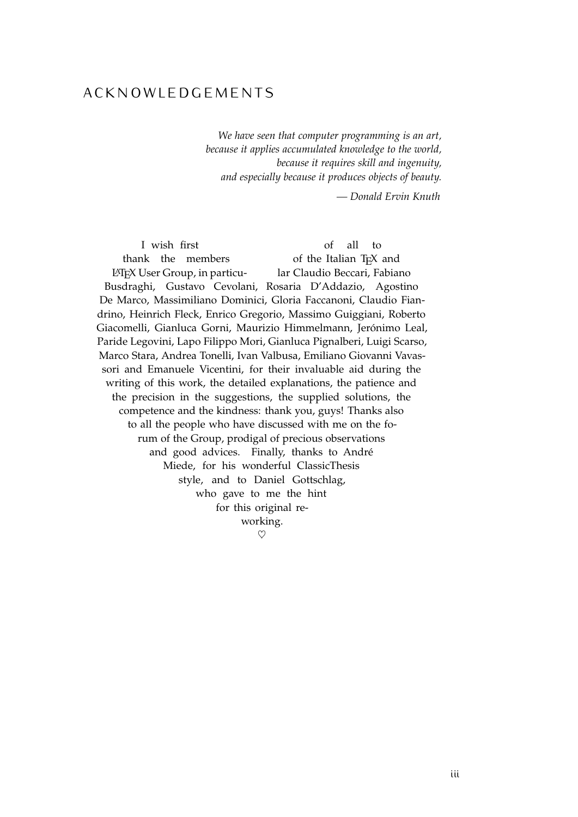### A C K N O W L E D G E M E N T S

*We have seen that computer programming is an art, because it applies accumulated knowledge to the world, because it requires skill and ingenuity, and especially because it produces objects of beauty.*

*— Donald Ervin Knuth*

I wish first of all to thank the members of the Italian T<sub>E</sub>X and<br>T<sub>E</sub>X User Group, in particu- lar Claudio Beccari, Fabiano LATEX User Group, in particu-Busdraghi, Gustavo Cevolani, Rosaria D'Addazio, Agostino De Marco, Massimiliano Dominici, Gloria Faccanoni, Claudio Fiandrino, Heinrich Fleck, Enrico Gregorio, Massimo Guiggiani, Roberto Giacomelli, Gianluca Gorni, Maurizio Himmelmann, Jerónimo Leal, Paride Legovini, Lapo Filippo Mori, Gianluca Pignalberi, Luigi Scarso, Marco Stara, Andrea Tonelli, Ivan Valbusa, Emiliano Giovanni Vavassori and Emanuele Vicentini, for their invaluable aid during the writing of this work, the detailed explanations, the patience and the precision in the suggestions, the supplied solutions, the competence and the kindness: thank you, guys! Thanks also to all the people who have discussed with me on the forum of the Group, prodigal of precious observations and good advices. Finally, thanks to André Miede, for his wonderful ClassicThesis style, and to Daniel Gottschlag, who gave to me the hint for this original reworking.  $\heartsuit$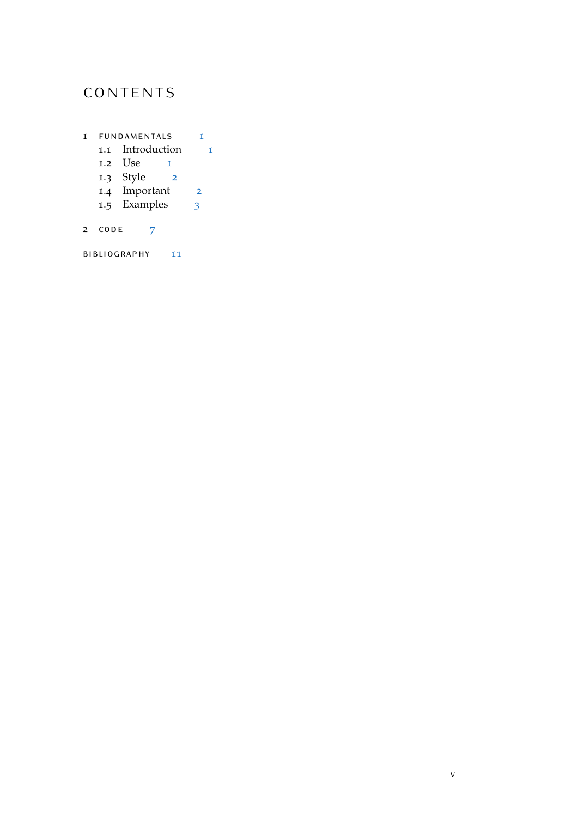## **CONTENTS**

- 1 fundamentals [1](#page-6-0)
	- [1](#page-6-1).1 Introduction 1<br>1.2 Use 1
	- [1](#page-6-2).2 Use
	- 1.3 Style [2](#page-6-3)
	- 1.4 Important [2](#page-7-0)
	- 1.5 Examples [3](#page-8-0)
- 2 CODE [7](#page-12-0)

bibliography [11](#page-16-0)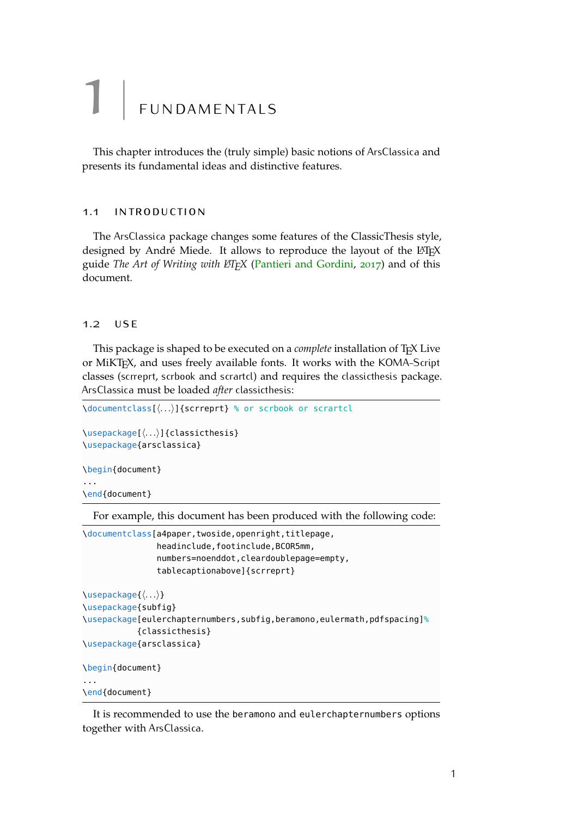# <span id="page-6-0"></span>F U N D A M E N TALS

<span id="page-6-1"></span>This chapter introduces the (truly simple) basic notions of ArsClassica and presents its fundamental ideas and distinctive features.

#### 1.1 introduction

The ArsClassica package changes some features of the ClassicThesis style, designed by André Miede. It allows to reproduce the layout of the LATEX guide *The Art of Writing with LATEX* [\(Pantieri](#page-16-1) [and Gordini,](#page-16-1) [2017](#page-16-1)) and of this document.

#### <span id="page-6-2"></span>1.2 use

This package is shaped to be executed on a *complete* installation of T<sub>E</sub>X Live or MiKTEX, and uses freely available fonts. It works with the KOMA-Script classes (scrreprt, scrbook and scrartcl) and requires the classicthesis package. ArsClassica must be loaded *after* classicthesis:

```
\documentclass[\langle\ldots\rangle]{scrreprt} % or scrbook or scrartcl
\usepackage[\langle...\rangle]{classicthesis}
\usepackage{arsclassica}
\begin{document}
...
\end{document}
```
For example, this document has been produced with the following code:

```
\documentclass[a4paper,twoside,openright,titlepage,
                headinclude,footinclude,BCOR5mm,
                numbers=noenddot,cleardoublepage=empty,
                tablecaptionabove]{scrreprt}
\usepackage{\langle \ldots \rangle}
\usepackage{subfig}
\usepackage[eulerchapternumbers,subfig,beramono,eulermath,pdfspacing]%
           {classicthesis}
\usepackage{arsclassica}
\begin{document}
...
\end{document}
```
<span id="page-6-3"></span>It is recommended to use the beramono and eulerchapternumbers options together with ArsClassica.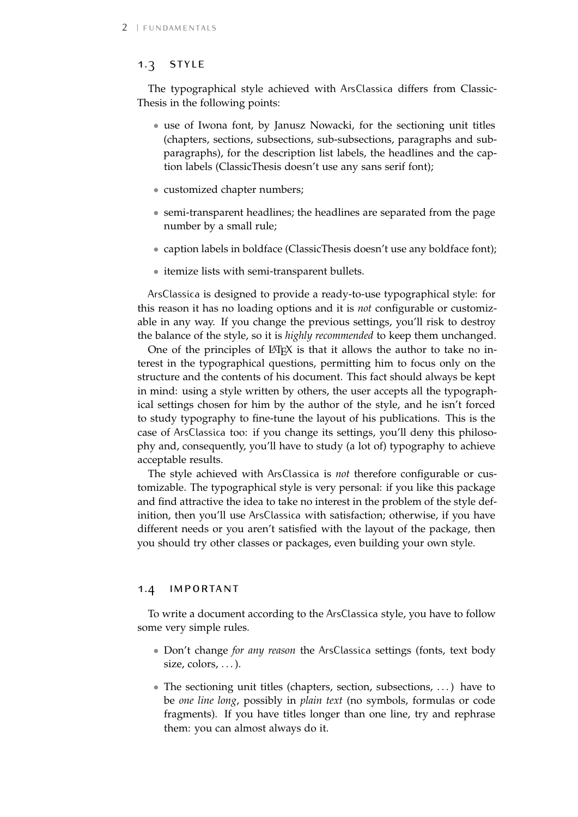#### 1.3 style

The typographical style achieved with ArsClassica differs from Classic-Thesis in the following points:

- use of Iwona font, by Janusz Nowacki, for the sectioning unit titles (chapters, sections, subsections, sub-subsections, paragraphs and subparagraphs), for the description list labels, the headlines and the caption labels (ClassicThesis doesn't use any sans serif font);
- customized chapter numbers;
- semi-transparent headlines; the headlines are separated from the page number by a small rule;
- caption labels in boldface (ClassicThesis doesn't use any boldface font);
- itemize lists with semi-transparent bullets.

ArsClassica is designed to provide a ready-to-use typographical style: for this reason it has no loading options and it is *not* configurable or customizable in any way. If you change the previous settings, you'll risk to destroy the balance of the style, so it is *highly recommended* to keep them unchanged.

One of the principles of LATEX is that it allows the author to take no interest in the typographical questions, permitting him to focus only on the structure and the contents of his document. This fact should always be kept in mind: using a style written by others, the user accepts all the typographical settings chosen for him by the author of the style, and he isn't forced to study typography to fine-tune the layout of his publications. This is the case of ArsClassica too: if you change its settings, you'll deny this philosophy and, consequently, you'll have to study (a lot of) typography to achieve acceptable results.

The style achieved with ArsClassica is *not* therefore configurable or customizable. The typographical style is very personal: if you like this package and find attractive the idea to take no interest in the problem of the style definition, then you'll use ArsClassica with satisfaction; otherwise, if you have different needs or you aren't satisfied with the layout of the package, then you should try other classes or packages, even building your own style.

#### <span id="page-7-0"></span>1.4 important

To write a document according to the ArsClassica style, you have to follow some very simple rules.

- Don't change *for any reason* the ArsClassica settings (fonts, text body size,  $colors$ , ...).
- The sectioning unit titles (chapters, section, subsections, . . . ) have to be *one line long*, possibly in *plain text* (no symbols, formulas or code fragments). If you have titles longer than one line, try and rephrase them: you can almost always do it.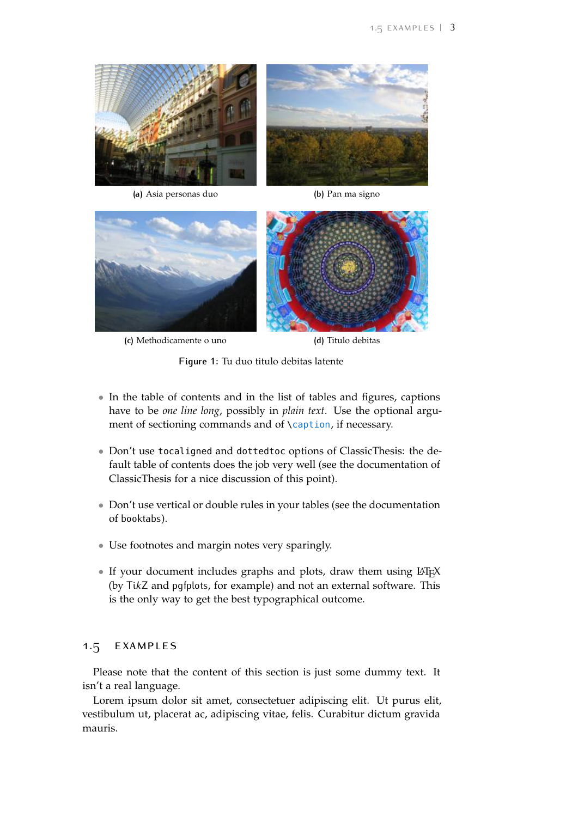

**(a)** Asia personas duo **(b)** Pan ma signo





**(c)** Methodicamente o uno **(d)** Titulo debitas



**Figure 1:** Tu duo titulo debitas latente

- In the table of contents and in the list of tables and figures, captions have to be *one line long*, possibly in *plain text*. Use the optional argument of sectioning commands and of \caption, if necessary.
- Don't use tocaligned and dottedtoc options of ClassicThesis: the default table of contents does the job very well (see the documentation of ClassicThesis for a nice discussion of this point).
- Don't use vertical or double rules in your tables (see the documentation of booktabs).
- Use footnotes and margin notes very sparingly.
- If your document includes graphs and plots, draw them using LATEX (by Ti*k*Z and pgfplots, for example) and not an external software. This is the only way to get the best typographical outcome.

#### <span id="page-8-0"></span>1.5 examples

Please note that the content of this section is just some dummy text. It isn't a real language.

Lorem ipsum dolor sit amet, consectetuer adipiscing elit. Ut purus elit, vestibulum ut, placerat ac, adipiscing vitae, felis. Curabitur dictum gravida mauris.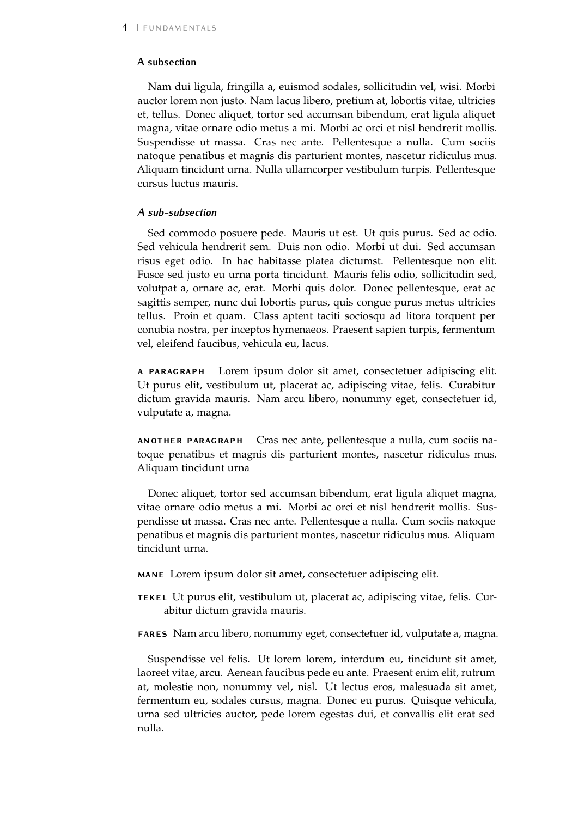#### **A subsection**

Nam dui ligula, fringilla a, euismod sodales, sollicitudin vel, wisi. Morbi auctor lorem non justo. Nam lacus libero, pretium at, lobortis vitae, ultricies et, tellus. Donec aliquet, tortor sed accumsan bibendum, erat ligula aliquet magna, vitae ornare odio metus a mi. Morbi ac orci et nisl hendrerit mollis. Suspendisse ut massa. Cras nec ante. Pellentesque a nulla. Cum sociis natoque penatibus et magnis dis parturient montes, nascetur ridiculus mus. Aliquam tincidunt urna. Nulla ullamcorper vestibulum turpis. Pellentesque cursus luctus mauris.

#### *A sub-subsection*

Sed commodo posuere pede. Mauris ut est. Ut quis purus. Sed ac odio. Sed vehicula hendrerit sem. Duis non odio. Morbi ut dui. Sed accumsan risus eget odio. In hac habitasse platea dictumst. Pellentesque non elit. Fusce sed justo eu urna porta tincidunt. Mauris felis odio, sollicitudin sed, volutpat a, ornare ac, erat. Morbi quis dolor. Donec pellentesque, erat ac sagittis semper, nunc dui lobortis purus, quis congue purus metus ultricies tellus. Proin et quam. Class aptent taciti sociosqu ad litora torquent per conubia nostra, per inceptos hymenaeos. Praesent sapien turpis, fermentum vel, eleifend faucibus, vehicula eu, lacus.

**a paragraph** Lorem ipsum dolor sit amet, consectetuer adipiscing elit. Ut purus elit, vestibulum ut, placerat ac, adipiscing vitae, felis. Curabitur dictum gravida mauris. Nam arcu libero, nonummy eget, consectetuer id, vulputate a, magna.

**another paragraph** Cras nec ante, pellentesque a nulla, cum sociis natoque penatibus et magnis dis parturient montes, nascetur ridiculus mus. Aliquam tincidunt urna

Donec aliquet, tortor sed accumsan bibendum, erat ligula aliquet magna, vitae ornare odio metus a mi. Morbi ac orci et nisl hendrerit mollis. Suspendisse ut massa. Cras nec ante. Pellentesque a nulla. Cum sociis natoque penatibus et magnis dis parturient montes, nascetur ridiculus mus. Aliquam tincidunt urna.

- **mane** Lorem ipsum dolor sit amet, consectetuer adipiscing elit.
- **tekel** Ut purus elit, vestibulum ut, placerat ac, adipiscing vitae, felis. Curabitur dictum gravida mauris.

**fares** Nam arcu libero, nonummy eget, consectetuer id, vulputate a, magna.

Suspendisse vel felis. Ut lorem lorem, interdum eu, tincidunt sit amet, laoreet vitae, arcu. Aenean faucibus pede eu ante. Praesent enim elit, rutrum at, molestie non, nonummy vel, nisl. Ut lectus eros, malesuada sit amet, fermentum eu, sodales cursus, magna. Donec eu purus. Quisque vehicula, urna sed ultricies auctor, pede lorem egestas dui, et convallis elit erat sed nulla.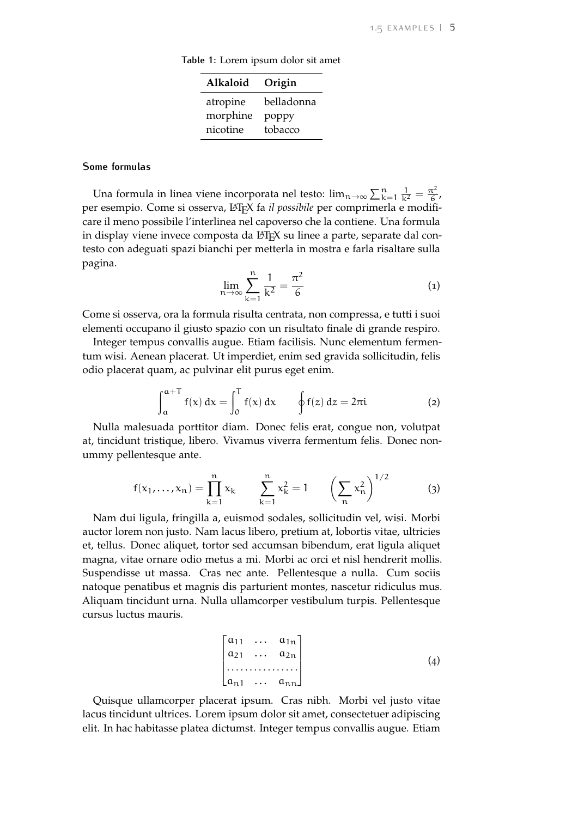| Alkaloid | Origin     |
|----------|------------|
| atropine | belladonna |
| morphine | poppy      |
| nicotine | tobacco    |

#### **Some formulas**

Una formula in linea viene incorporata nel testo:  $\lim_{n\to\infty} \sum_{k=1}^{n} \frac{1}{k^2} = \frac{\pi^2}{6}$  $\frac{7}{6}$ , per esempio. Come si osserva, LATEX fa *il possibile* per comprimerla e modificare il meno possibile l'interlinea nel capoverso che la contiene. Una formula in display viene invece composta da LAT<sub>E</sub>X su linee a parte, separate dal contesto con adeguati spazi bianchi per metterla in mostra e farla risaltare sulla pagina.

$$
\lim_{n \to \infty} \sum_{k=1}^{n} \frac{1}{k^2} = \frac{\pi^2}{6}
$$
 (1)

Come si osserva, ora la formula risulta centrata, non compressa, e tutti i suoi elementi occupano il giusto spazio con un risultato finale di grande respiro.

Integer tempus convallis augue. Etiam facilisis. Nunc elementum fermentum wisi. Aenean placerat. Ut imperdiet, enim sed gravida sollicitudin, felis odio placerat quam, ac pulvinar elit purus eget enim.

$$
\int_{a}^{a+T} f(x) dx = \int_{0}^{T} f(x) dx \qquad \oint f(z) dz = 2\pi i
$$
 (2)

Nulla malesuada porttitor diam. Donec felis erat, congue non, volutpat at, tincidunt tristique, libero. Vivamus viverra fermentum felis. Donec nonummy pellentesque ante.

$$
f(x_1,...,x_n) = \prod_{k=1}^n x_k \qquad \sum_{k=1}^n x_k^2 = 1 \qquad \left(\sum_n x_n^2\right)^{1/2} \tag{3}
$$

Nam dui ligula, fringilla a, euismod sodales, sollicitudin vel, wisi. Morbi auctor lorem non justo. Nam lacus libero, pretium at, lobortis vitae, ultricies et, tellus. Donec aliquet, tortor sed accumsan bibendum, erat ligula aliquet magna, vitae ornare odio metus a mi. Morbi ac orci et nisl hendrerit mollis. Suspendisse ut massa. Cras nec ante. Pellentesque a nulla. Cum sociis natoque penatibus et magnis dis parturient montes, nascetur ridiculus mus. Aliquam tincidunt urna. Nulla ullamcorper vestibulum turpis. Pellentesque cursus luctus mauris.

$$
\begin{bmatrix} a_{11} & \dots & a_{1n} \\ a_{21} & \dots & a_{2n} \\ \dots & \dots & \dots \\ a_{n1} & \dots & a_{nn} \end{bmatrix}
$$
 (4)

Quisque ullamcorper placerat ipsum. Cras nibh. Morbi vel justo vitae lacus tincidunt ultrices. Lorem ipsum dolor sit amet, consectetuer adipiscing elit. In hac habitasse platea dictumst. Integer tempus convallis augue. Etiam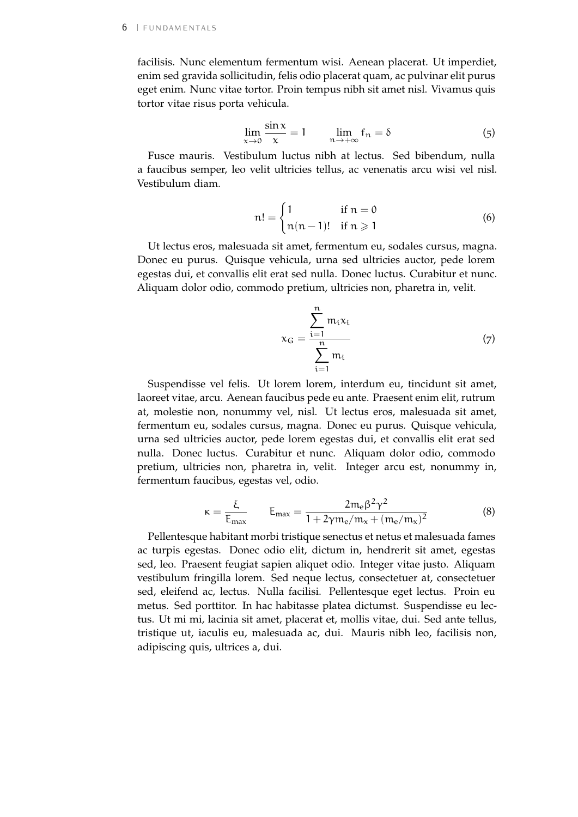#### 6 FUNDAMENTALS

facilisis. Nunc elementum fermentum wisi. Aenean placerat. Ut imperdiet, enim sed gravida sollicitudin, felis odio placerat quam, ac pulvinar elit purus eget enim. Nunc vitae tortor. Proin tempus nibh sit amet nisl. Vivamus quis tortor vitae risus porta vehicula.

$$
\lim_{x \to 0} \frac{\sin x}{x} = 1 \qquad \lim_{n \to +\infty} f_n = \delta \tag{5}
$$

Fusce mauris. Vestibulum luctus nibh at lectus. Sed bibendum, nulla a faucibus semper, leo velit ultricies tellus, ac venenatis arcu wisi vel nisl. Vestibulum diam.

$$
n! = \begin{cases} 1 & \text{if } n = 0 \\ n(n-1)! & \text{if } n \ge 1 \end{cases}
$$
 (6)

Ut lectus eros, malesuada sit amet, fermentum eu, sodales cursus, magna. Donec eu purus. Quisque vehicula, urna sed ultricies auctor, pede lorem egestas dui, et convallis elit erat sed nulla. Donec luctus. Curabitur et nunc. Aliquam dolor odio, commodo pretium, ultricies non, pharetra in, velit.

$$
x_G = \frac{\sum_{i=1}^{n} m_i x_i}{\sum_{i=1}^{n} m_i}
$$
 (7)

Suspendisse vel felis. Ut lorem lorem, interdum eu, tincidunt sit amet, laoreet vitae, arcu. Aenean faucibus pede eu ante. Praesent enim elit, rutrum at, molestie non, nonummy vel, nisl. Ut lectus eros, malesuada sit amet, fermentum eu, sodales cursus, magna. Donec eu purus. Quisque vehicula, urna sed ultricies auctor, pede lorem egestas dui, et convallis elit erat sed nulla. Donec luctus. Curabitur et nunc. Aliquam dolor odio, commodo pretium, ultricies non, pharetra in, velit. Integer arcu est, nonummy in, fermentum faucibus, egestas vel, odio.

$$
\kappa = \frac{\xi}{E_{\text{max}}} \qquad E_{\text{max}} = \frac{2m_e \beta^2 \gamma^2}{1 + 2\gamma m_e / m_x + (m_e / m_x)^2}
$$
(8)

Pellentesque habitant morbi tristique senectus et netus et malesuada fames ac turpis egestas. Donec odio elit, dictum in, hendrerit sit amet, egestas sed, leo. Praesent feugiat sapien aliquet odio. Integer vitae justo. Aliquam vestibulum fringilla lorem. Sed neque lectus, consectetuer at, consectetuer sed, eleifend ac, lectus. Nulla facilisi. Pellentesque eget lectus. Proin eu metus. Sed porttitor. In hac habitasse platea dictumst. Suspendisse eu lectus. Ut mi mi, lacinia sit amet, placerat et, mollis vitae, dui. Sed ante tellus, tristique ut, iaculis eu, malesuada ac, dui. Mauris nibh leo, facilisis non, adipiscing quis, ultrices a, dui.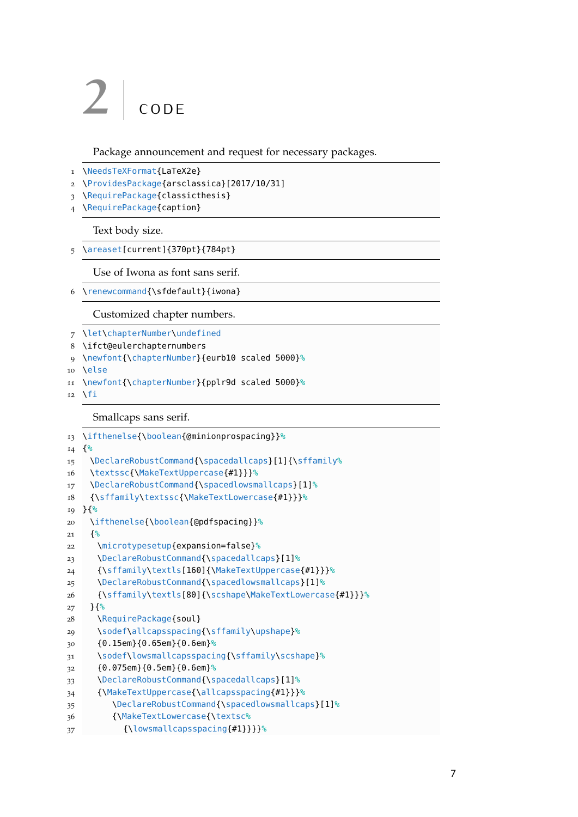# <span id="page-12-0"></span> $2 \mid \text{cone}$

Package announcement and request for necessary packages.

```
1 \NeedsTeXFormat{LaTeX2e}
```
- \ProvidesPackage{arsclassica}[2017/10/31]
- \RequirePackage{classicthesis}
- \RequirePackage{caption}

Text body size.

\areaset[current]{370pt}{784pt}

Use of Iwona as font sans serif.

\renewcommand{\sfdefault}{iwona}

Customized chapter numbers.

```
7 \let\chapterNumber\undefined
```

```
8 \ifct@eulerchapternumbers
```

```
9 \newfont{\chapterNumber}{eurb10 scaled 5000}%
```

```
10 \else
```

```
11 \newfont{\chapterNumber}{pplr9d scaled 5000}%
```

```
12 \fi
```
Smallcaps sans serif.

```
13 \ifthenelse{\boolean{@minionprospacing}}%
14 {%
15 \DeclareRobustCommand{\spacedallcaps}[1]{\sffamily%
16 \textssc{\MakeTextUppercase{#1}}}%
17 \DeclareRobustCommand{\spacedlowsmallcaps}[1]%
18 {\sffamily\textssc{\MakeTextLowercase{#1}}}%
19 }{%
20 \ifthenelse{\boolean{@pdfspacing}}%
21 {%
22 \microtypesetup{expansion=false}%
23 \DeclareRobustCommand{\spacedallcaps}[1]%
24 {\sffamily\textls[160]{\MakeTextUppercase{#1}}}%
25 \DeclareRobustCommand{\spacedlowsmallcaps}[1]%
26 {\sffamily\textls[80]{\scshape\MakeTextLowercase{#1}}}%
27 }\{\frac{6}{6}\}28 \RequirePackage{soul}
29 \sodef\allcapsspacing{\sffamily\upshape}%
30 {0.15em}{0.65em}{0.6em}%
31 \sodef\lowsmallcapsspacing{\sffamily\scshape}%
32 {0.075em}{0.5em}{0.6em}%
33 \DeclareRobustCommand{\spacedallcaps}[1]%
34 {\MakeTextUppercase{\allcapsspacing{#1}}}%
35 \DeclareRobustCommand{\spacedlowsmallcaps}[1]%
36 {\MakeTextLowercase{\textsc%
37 {\lowsmallcapsspacing{#1}}}}%
```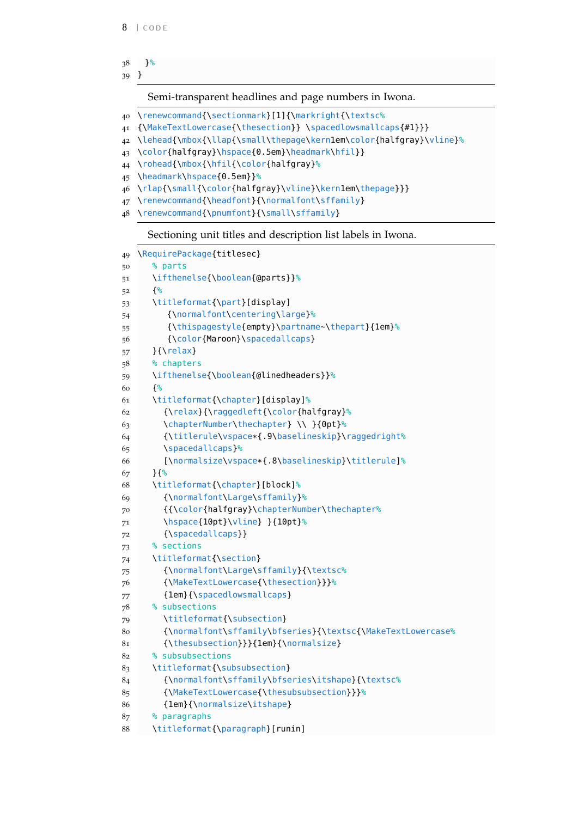```
8 | CODE
```

```
38 }%
```
}

Semi-transparent headlines and page numbers in Iwona.

- \renewcommand{\sectionmark}[1]{\markright{\textsc%
- {\MakeTextLowercase{\thesection}} \spacedlowsmallcaps{#1}}}
- \lehead{\mbox{\llap{\small\thepage\kern1em\color{halfgray}\vline}%
- 43 \color{halfgray}\hspace{0.5em}\headmark\hfil}}
- \rohead{\mbox{\hfil{\color{halfgray}%
- \headmark\hspace{0.5em}}%
- \rlap{\small{\color{halfgray}\vline}\kern1em\thepage}}}
- 47 \renewcommand{\headfont}{\normalfont\sffamily}
- \renewcommand{\pnumfont}{\small\sffamily}

Sectioning unit titles and description list labels in Iwona.

```
49 \RequirePackage{titlesec}
50 % parts
51 \ifthenelse{\boolean{@parts}}%
52 {%
53 \titleformat{\part}[display]
54 {\normalfont\centering\large}%
55 {\thispagestyle{empty}\partname~\thepart}{1em}%
56 {\color{Maroon}\spacedallcaps}
57 }{\relax}
58 % chapters
59 \ifthenelse{\boolean{@linedheaders}}%
60 {%
61 \titleformat{\chapter}[display]%
62 {\relax}{\raggedleft{\color{halfgray}%
63 \chapterNumber\thechapter} \\ }{0pt}%
64 {\titlerule\vspace*{.9\baselineskip}\raggedright%
65 \spacedallcaps}%
66 [\normalsize\vspace*{.8\baselineskip}\titlerule]%
67 }{%
68 \titleformat{\chapter}[block]%
69 {\normalfont\Large\sffamily}%
70 {{\color{halfgray}\chapterNumber\thechapter%
71 \hspace{10pt}\vline} }{10pt}%
72 {\spacedallcaps}}
73 % sections
74 \titleformat{\section}
75 {\normalfont\Large\sffamily}{\textsc%
76 {\MakeTextLowercase{\thesection}}}%
77 {1em}{\spacedlowsmallcaps}
78 % subsections
79 \titleformat{\subsection}
80 {\normalfont\sffamily\bfseries}{\textsc{\MakeTextLowercase%
81 {\thesubsection}}}{1em}{\normalsize}
82 % subsubsections
83 \titleformat{\subsubsection}
84 {\normalfont\sffamily\bfseries\itshape}{\textsc%
85 {\MakeTextLowercase{\thesubsubsection}}}%
86 {1em}{\normalsize\itshape}
87 % paragraphs
88 \titleformat{\paragraph}[runin]
```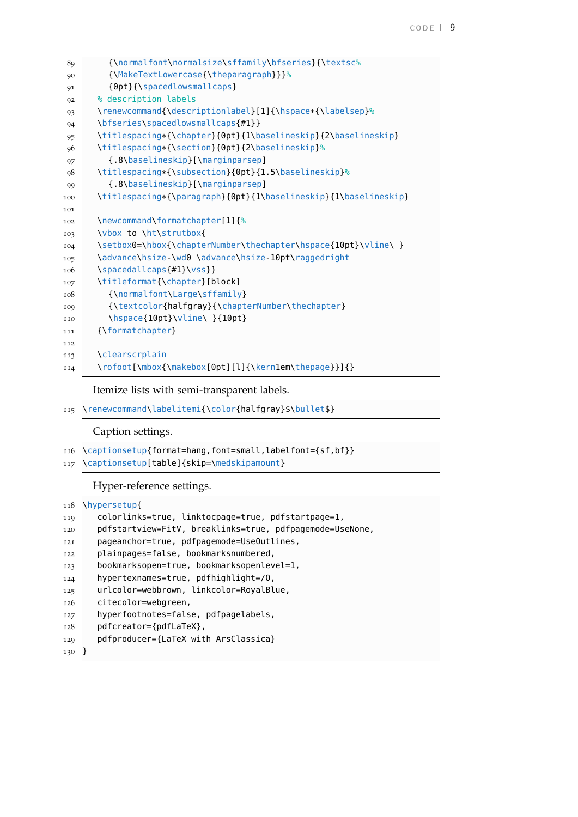| 89  | {\normalfont\normalsize\sffamily\bfseries}{\textsc%             |
|-----|-----------------------------------------------------------------|
| 90  | {\MakeTextLowercase{\theparagraph}}}%                           |
| 91  | {0pt}{\spacedlowsmallcaps}                                      |
| 92  | % description labels                                            |
| 93  | \renewcommand{\descriptionlabel}[1]{\hspace*{\labelsep}%        |
| 94  | \bfseries\spacedlowsmallcaps{#1}}                               |
| 95  | \titlespacing*{\chapter}{0pt}{1\baselineskip}{2\baselineskip}   |
| 96  | \titlespacing*{\section}{0pt}{2\baselineskip}%                  |
| 97  | {.8\baselineskip}[\marginparsep]                                |
| 98  | \titlespacing*{\subsection}{0pt}{1.5\baselineskip}%             |
| 99  | {.8\baselineskip}[\marginparsep]                                |
| 100 | \titlespacing*{\paragraph}{0pt}{1\baselineskip}{1\baselineskip} |
| 101 |                                                                 |
| 102 | \newcommand\formatchapter[1]{%                                  |
| 103 | \vbox to \ht\strutbox{                                          |
| 104 | \setbox0=\hbox{\chapterNumber\thechapter\hspace{10pt}\vline\ }  |
| 105 | \advance\hsize-\wd0 \advance\hsize-10pt\raggedright             |
| 106 | \spacedallcaps{#1}\vss}}                                        |
| 107 | \titleformat{\chapter}[block]                                   |
| 108 | {\normalfont\Large\sffamily}                                    |
| 109 | {\textcolor{halfgray}{\chapterNumber\thechapter}                |
| 110 | \hspace{10pt}\vline\ }{10pt}                                    |
| 111 | {\formatchapter}                                                |
| 112 |                                                                 |
| 113 | <b>\clearscrplain</b>                                           |
| 114 | \rofoot[\mbox{\makebox[0pt][l]{\kern1em\thepage}}]{}            |

Itemize lists with semi-transparent labels.

```
115 \renewcommand\labelitemi{\color{halfgray}$\bullet$}
```
Caption settings.

```
116 \captionsetup{format=hang,font=small,labelfont={sf,bf}}
```

```
117 \captionsetup[table]{skip=\medskipamount}
```
Hyper-reference settings.

```
118 \hypersetup{
119 colorlinks=true, linktocpage=true, pdfstartpage=1,
120 pdfstartview=FitV, breaklinks=true, pdfpagemode=UseNone,
121 pageanchor=true, pdfpagemode=UseOutlines,
122 plainpages=false, bookmarksnumbered,
123 bookmarksopen=true, bookmarksopenlevel=1,
124 hypertexnames=true, pdfhighlight=/O,
125 urlcolor=webbrown, linkcolor=RoyalBlue,
126 citecolor=webgreen,
127 hyperfootnotes=false, pdfpagelabels,
128 pdfcreator={pdfLaTeX},
129 pdfproducer={LaTeX with ArsClassica}
130 }
```